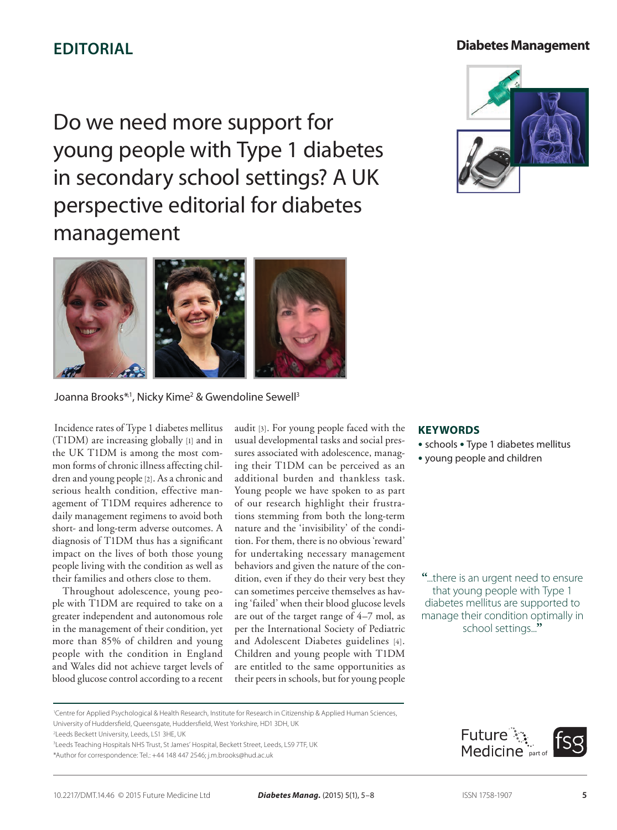# **EDITORIAL**

## **Diabetes Management**

Do we need more support for young people with Type 1 diabetes in secondary school settings? A UK perspective editorial for diabetes management





### Joanna Brooks<sup>\*,1</sup>, Nicky Kime<sup>2</sup> & Gwendoline Sewell<sup>3</sup>

 Incidence rates of Type 1 diabetes mellitus (T1DM) are increasing globally [1] and in the UK T1DM is among the most common forms of chronic illness affecting children and young people [2]. As a chronic and serious health condition, effective management of T1DM requires adherence to daily management regimens to avoid both short- and long-term adverse outcomes. A diagnosis of T1DM thus has a significant impact on the lives of both those young people living with the condition as well as their families and others close to them.

Throughout adolescence, young people with T1DM are required to take on a greater independent and autonomous role in the management of their condition, yet more than 85% of children and young people with the condition in England and Wales did not achieve target levels of blood glucose control according to a recent audit [3]. For young people faced with the usual developmental tasks and social pressures associated with adolescence, managing their T1DM can be perceived as an additional burden and thankless task. Young people we have spoken to as part of our research highlight their frustrations stemming from both the long-term nature and the 'invisibility' of the condition. For them, there is no obvious 'reward' for undertaking necessary management behaviors and given the nature of the condition, even if they do their very best they can sometimes perceive themselves as having 'failed' when their blood glucose levels are out of the target range of 4–7 mol, as per the International Society of Pediatric and Adolescent Diabetes guidelines [4]. Children and young people with T1DM are entitled to the same opportunities as their peers in schools, but for young people

#### **Keywords**

- schools Type 1 diabetes mellitus
- young people and children

**"**...there is an urgent need to ensure that young people with Type 1 diabetes mellitus are supported to manage their condition optimally in school settings...**"**

1 Centre for Applied Psychological & Health Research, Institute for Research in Citizenship & Applied Human Sciences, University of Huddersfield, Queensgate, Huddersfield, West Yorkshire, HD1 3DH, UK

2 Leeds Beckett University, Leeds, LS1 3HE, UK

3 Leeds Teaching Hospitals NHS Trust, St James' Hospital, Beckett Street, Leeds, LS9 7TF, UK

\*Author for correspondence: Tel.: +44 148 447 2546; j.m.brooks@hud.ac.uk

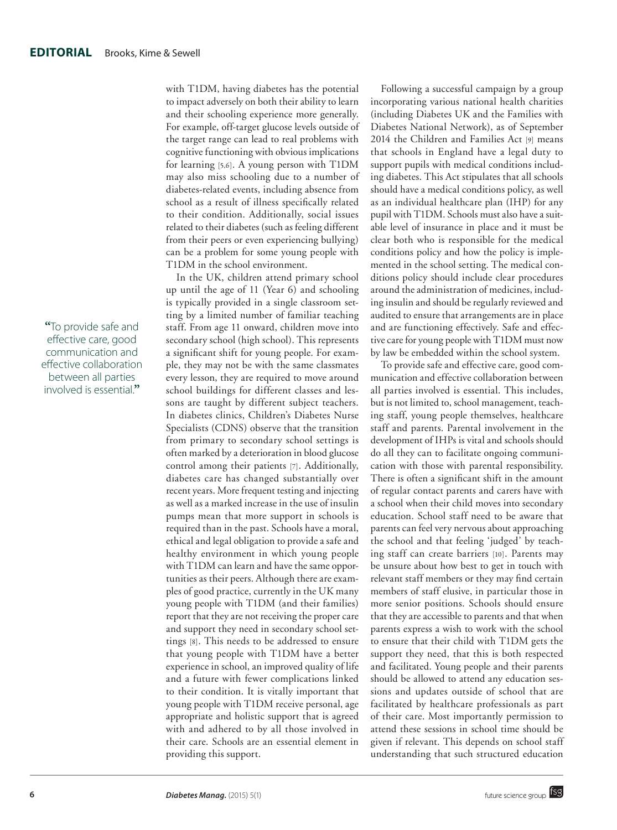**"**To provide safe and effective care, good communication and effective collaboration between all parties involved is essential.**"**

with T1DM, having diabetes has the potential to impact adversely on both their ability to learn and their schooling experience more generally. For example, off-target glucose levels outside of the target range can lead to real problems with cognitive functioning with obvious implications for learning [5,6]. A young person with T1DM may also miss schooling due to a number of diabetes-related events, including absence from school as a result of illness specifically related to their condition. Additionally, social issues related to their diabetes (such as feeling different from their peers or even experiencing bullying) can be a problem for some young people with T1DM in the school environment.

In the UK, children attend primary school up until the age of 11 (Year 6) and schooling is typically provided in a single classroom setting by a limited number of familiar teaching staff. From age 11 onward, children move into secondary school (high school). This represents a significant shift for young people. For example, they may not be with the same classmates every lesson, they are required to move around school buildings for different classes and lessons are taught by different subject teachers. In diabetes clinics, Children's Diabetes Nurse Specialists (CDNS) observe that the transition from primary to secondary school settings is often marked by a deterioration in blood glucose control among their patients [7]. Additionally, diabetes care has changed substantially over recent years. More frequent testing and injecting as well as a marked increase in the use of insulin pumps mean that more support in schools is required than in the past. Schools have a moral, ethical and legal obligation to provide a safe and healthy environment in which young people with T1DM can learn and have the same opportunities as their peers. Although there are examples of good practice, currently in the UK many young people with T1DM (and their families) report that they are not receiving the proper care and support they need in secondary school settings [8]. This needs to be addressed to ensure that young people with T1DM have a better experience in school, an improved quality of life and a future with fewer complications linked to their condition. It is vitally important that young people with T1DM receive personal, age appropriate and holistic support that is agreed with and adhered to by all those involved in their care. Schools are an essential element in providing this support.

Following a successful campaign by a group incorporating various national health charities (including Diabetes UK and the Families with Diabetes National Network), as of September 2014 the Children and Families Act [9] means that schools in England have a legal duty to support pupils with medical conditions including diabetes. This Act stipulates that all schools should have a medical conditions policy, as well as an individual healthcare plan (IHP) for any pupil with T1DM. Schools must also have a suitable level of insurance in place and it must be clear both who is responsible for the medical conditions policy and how the policy is implemented in the school setting. The medical conditions policy should include clear procedures around the administration of medicines, including insulin and should be regularly reviewed and audited to ensure that arrangements are in place and are functioning effectively. Safe and effective care for young people with T1DM must now by law be embedded within the school system.

To provide safe and effective care, good communication and effective collaboration between all parties involved is essential. This includes, but is not limited to, school management, teaching staff, young people themselves, healthcare staff and parents. Parental involvement in the development of IHPs is vital and schools should do all they can to facilitate ongoing communication with those with parental responsibility. There is often a significant shift in the amount of regular contact parents and carers have with a school when their child moves into secondary education. School staff need to be aware that parents can feel very nervous about approaching the school and that feeling 'judged' by teaching staff can create barriers [10]. Parents may be unsure about how best to get in touch with relevant staff members or they may find certain members of staff elusive, in particular those in more senior positions. Schools should ensure that they are accessible to parents and that when parents express a wish to work with the school to ensure that their child with T1DM gets the support they need, that this is both respected and facilitated. Young people and their parents should be allowed to attend any education sessions and updates outside of school that are facilitated by healthcare professionals as part of their care. Most importantly permission to attend these sessions in school time should be given if relevant. This depends on school staff understanding that such structured education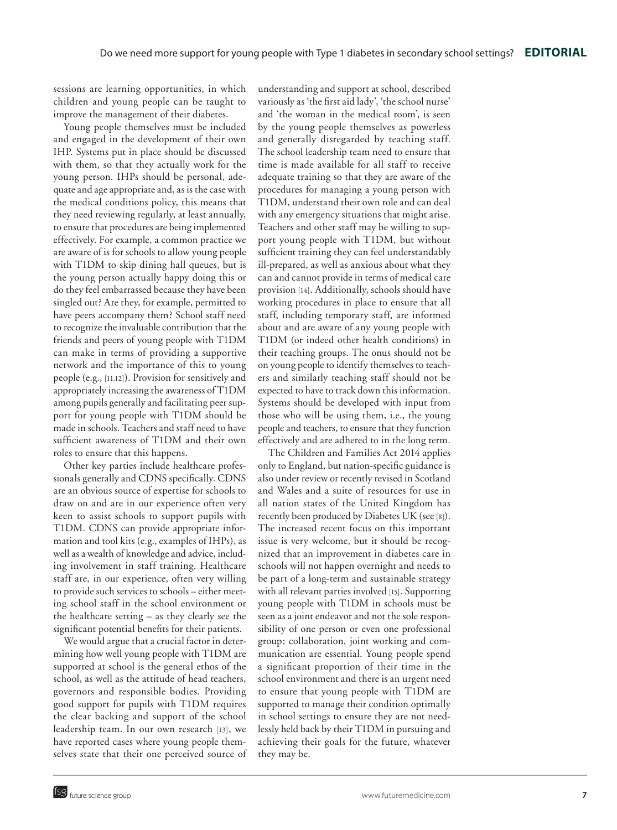sessions are learning opportunities, in which children and young people can be taught to improve the management of their diabetes.

Young people themselves must be included and engaged in the development of their own IHP. Systems put in place should be discussed with them, so that they actually work for the young person. IHPs should be personal, adequate and age appropriate and, as is the case with the medical conditions policy, this means that they need reviewing regularly, at least annually, to ensure that procedures are being implemented effectively. For example, a common practice we are aware of is for schools to allow young people with T1DM to skip dining hall queues, but is the young person actually happy doing this or do they feel embarrassed because they have been singled out? Are they, for example, permitted to have peers accompany them? School staff need to recognize the invaluable contribution that the friends and peers of young people with T1DM can make in terms of providing a supportive network and the importance of this to young people (e.g., [11,12]). Provision for sensitively and appropriately increasing the awareness of T1DM among pupils generally and facilitating peer support for young people with T1DM should be made in schools. Teachers and staff need to have sufficient awareness of T1DM and their own roles to ensure that this happens.

Other key parties include healthcare professionals generally and CDNS specifically. CDNS are an obvious source of expertise for schools to draw on and are in our experience often very keen to assist schools to support pupils with T1DM. CDNS can provide appropriate information and tool kits (e.g., examples of IHPs), as well as a wealth of knowledge and advice, including involvement in staff training. Healthcare staff are, in our experience, often very willing to provide such services to schools – either meeting school staff in the school environment or the healthcare setting – as they clearly see the significant potential benefits for their patients.

We would argue that a crucial factor in determining how well young people with T1DM are supported at school is the general ethos of the school, as well as the attitude of head teachers, governors and responsible bodies. Providing good support for pupils with T1DM requires the clear backing and support of the school leadership team. In our own research [13], we have reported cases where young people themselves state that their one perceived source of understanding and support at school, described variously as 'the first aid lady', 'the school nurse' and 'the woman in the medical room', is seen by the young people themselves as powerless and generally disregarded by teaching staff. The school leadership team need to ensure that time is made available for all staff to receive adequate training so that they are aware of the procedures for managing a young person with T1DM, understand their own role and can deal with any emergency situations that might arise. Teachers and other staff may be willing to support young people with T1DM, but without sufficient training they can feel understandably ill-prepared, as well as anxious about what they can and cannot provide in terms of medical care provision [14]. Additionally, schools should have working procedures in place to ensure that all staff, including temporary staff, are informed about and are aware of any young people with T1DM (or indeed other health conditions) in their teaching groups. The onus should not be on young people to identify themselves to teachers and similarly teaching staff should not be expected to have to track down this information. Systems should be developed with input from those who will be using them, i.e., the young people and teachers, to ensure that they function effectively and are adhered to in the long term.

The Children and Families Act 2014 applies only to England, but nation-specific guidance is also under review or recently revised in Scotland and Wales and a suite of resources for use in all nation states of the United Kingdom has recently been produced by Diabetes UK (see [8]). The increased recent focus on this important issue is very welcome, but it should be recognized that an improvement in diabetes care in schools will not happen overnight and needs to be part of a long-term and sustainable strategy with all relevant parties involved [15]. Supporting young people with T1DM in schools must be seen as a joint endeavor and not the sole responsibility of one person or even one professional group; collaboration, joint working and communication are essential. Young people spend a significant proportion of their time in the school environment and there is an urgent need to ensure that young people with T1DM are supported to manage their condition optimally in school settings to ensure they are not needlessly held back by their T1DM in pursuing and achieving their goals for the future, whatever they may be.